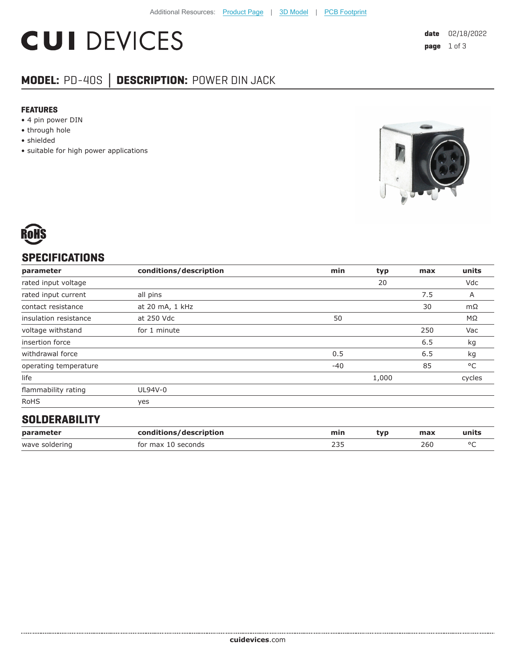# **CUI DEVICES**

## **MODEL:** PD-40S **│ DESCRIPTION:** POWER DIN JACK

#### **FEATURES**

- 4 pin power DIN
- through hole
- shielded
- suitable for high power applications





### **SPECIFICATIONS**

| parameter             | conditions/description | min   | typ   | max | units     |
|-----------------------|------------------------|-------|-------|-----|-----------|
| rated input voltage   |                        |       | 20    |     | Vdc       |
| rated input current   | all pins               |       |       | 7.5 | Α         |
| contact resistance    | at 20 mA, 1 kHz        |       |       | 30  | $m\Omega$ |
| insulation resistance | at 250 Vdc             | 50    |       |     | ΜΩ        |
| voltage withstand     | for 1 minute           |       |       | 250 | Vac       |
| insertion force       |                        |       |       | 6.5 | kg        |
| withdrawal force      |                        | 0.5   |       | 6.5 | kg        |
| operating temperature |                        | $-40$ |       | 85  | °C        |
| life                  |                        |       | 1,000 |     | cycles    |
| flammability rating   | UL94V-0                |       |       |     |           |
| <b>RoHS</b>           | yes                    |       |       |     |           |

#### **SOLDERABILITY**

| paramete          | lescription<br>COD. | mir.       | tvr | max | units |
|-------------------|---------------------|------------|-----|-----|-------|
| solderinc<br>wave | for max<br>seconds  | חרר<br>252 |     | 260 |       |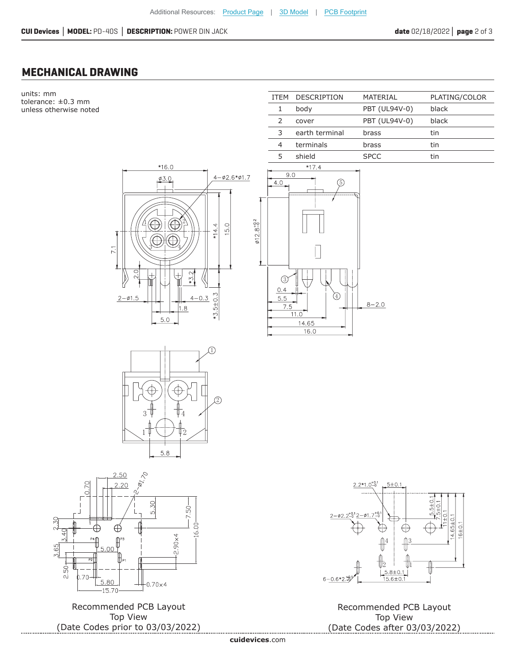ITEM DESCRIPTION MATERIAL PLATING/COLOR

1 body PBT (UL94V-0) black

#### **MECHANICAL DRAWING**

units: mm tolerance: ±0.3 mm unless otherwise noted









Recommended PCB Layout Top View (Date Codes prior to 03/03/2022)



Recommended PCB Layout Top View (Date Codes after 03/03/2022)